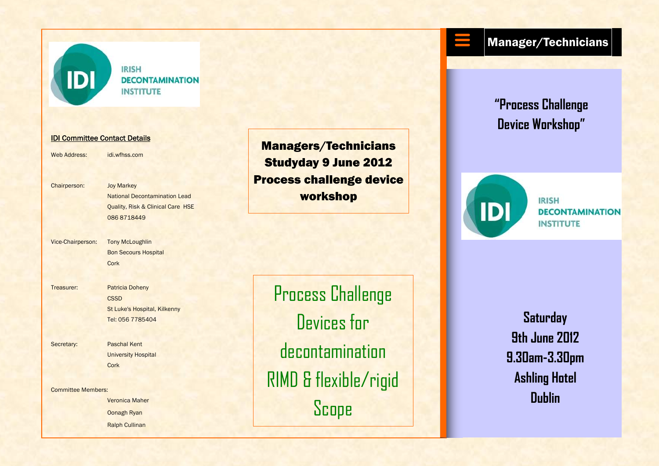

**IRISH DECONTAMINATION INSTITUTE** 

## IDI Committee Contact Details

Web Address: idi.wfhss.com

Chairperson: Joy Markey

 National Decontamination Lead Quality, Risk & Clinical Care HSE 086 8718449

Vice-Chairperson: Tony McLoughlin

 Bon Secours Hospital Cork

Treasurer: Patricia Doheny

**CSSD**  St Luke's Hospital, Kilkenny Tel: 056 7785404

Secretary: Paschal Kent University Hospital Cork

Committee Members:

**Veronica Maher**  Oonagh Ryan Ralph Cullinan

Managers/Technicians Studyday 9 June 2012 Process challenge device workshop

Process Challenge Devices for decontamination RIMD & flexible/rigid **Scope** 

## Manager/Technicians

**"Process Challenge Device Workshop"**



**IRISH** *DECONTAMINATION* **INSTITUTE** 

**Saturday 9th June 2012 9.30am-3.30pm Ashling Hotel Dublin**